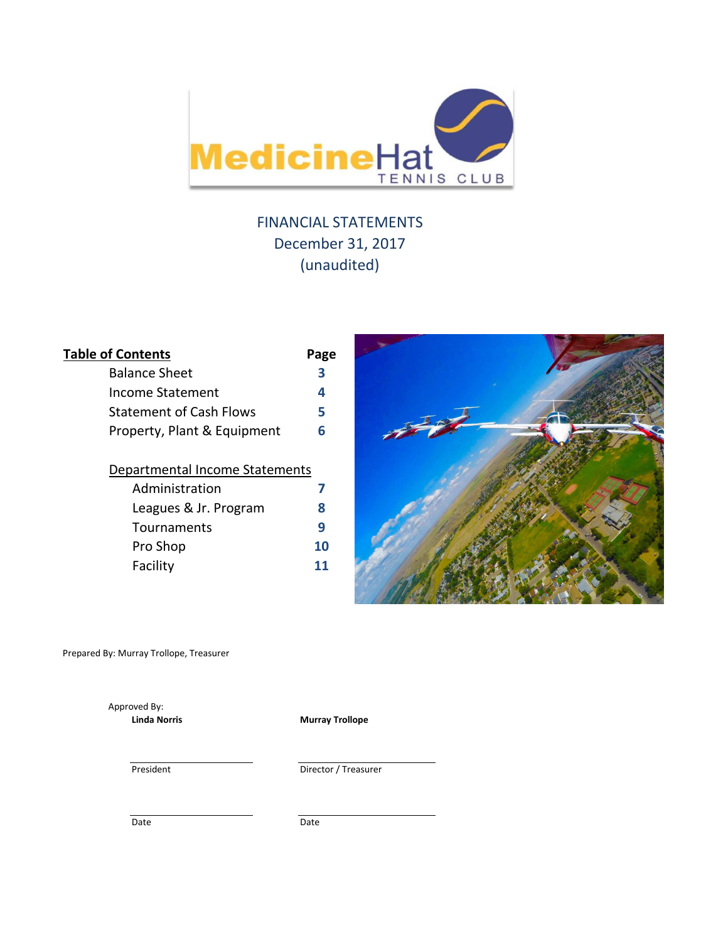

# FINANCIAL STATEMENTS December 31, 2017 (unaudited)

| <b>Table of Contents</b>       | Page |
|--------------------------------|------|
| <b>Balance Sheet</b>           | 3    |
| Income Statement               | 4    |
| <b>Statement of Cash Flows</b> | 5    |
| Property, Plant & Equipment    | 6    |
| Departmental Income Statements |      |
| Administration                 |      |
| Leagues & Jr. Program          | 8    |
| Tournaments                    | 9    |
| Pro Shop                       |      |

Facility **11**



Prepared By: Murray Trollope, Treasurer

Approved By:

**Linda Norris Murray Trollope**

President Director / Treasurer

Date Date Date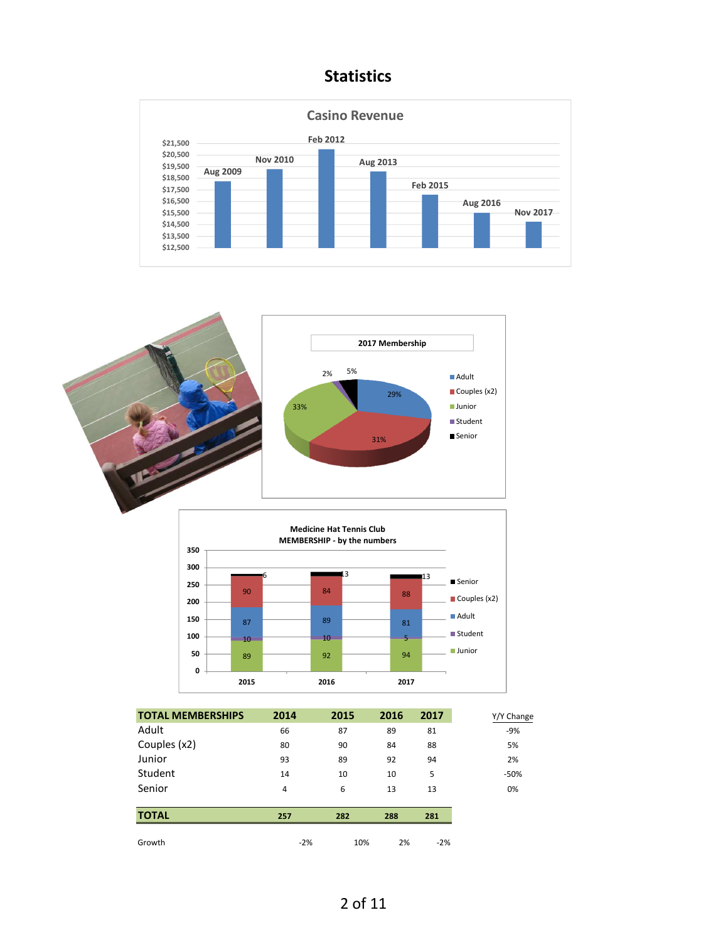## **Statistics**







| <b>TOTAL MEMBERSHIPS</b> | 2014  | 2015 | 2016 | 2017  | Y/Y Change |
|--------------------------|-------|------|------|-------|------------|
| Adult                    | 66    | 87   | 89   | 81    | $-9%$      |
| Couples (x2)             | 80    | 90   | 84   | 88    | 5%         |
| Junior                   | 93    | 89   | 92   | 94    | 2%         |
| Student                  | 14    | 10   | 10   | 5     | $-50%$     |
| Senior                   | 4     | 6    | 13   | 13    | 0%         |
|                          |       |      |      |       |            |
| <b>TOTAL</b>             | 257   | 282  | 288  | 281   |            |
|                          |       |      |      |       |            |
| Growth                   | $-2%$ | 10%  | 2%   | $-2%$ |            |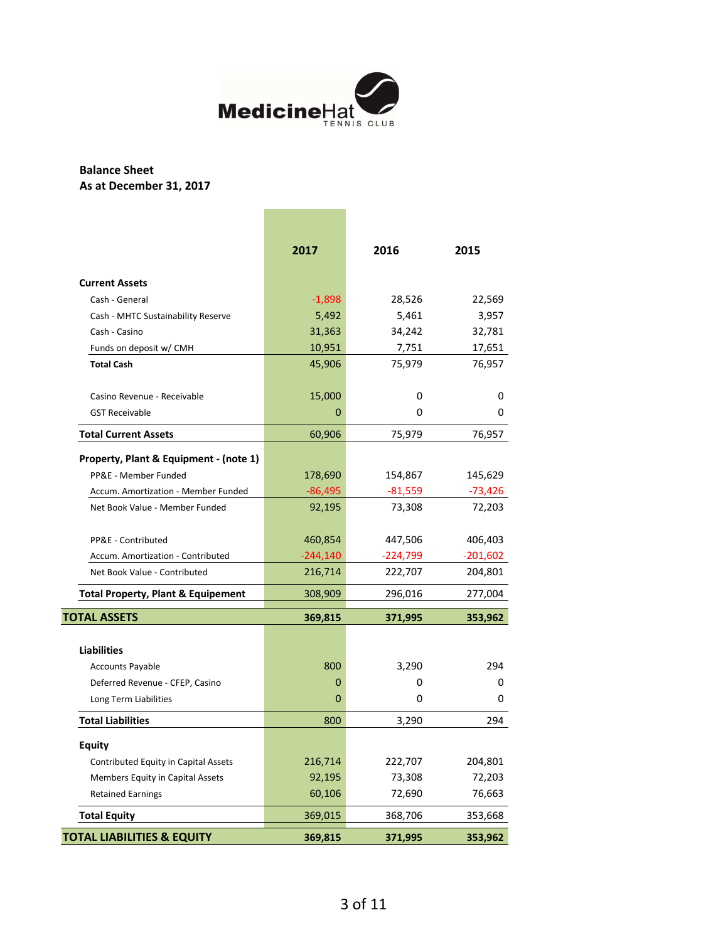

## **Balance Sheet As at December 31, 2017**

|                                        | 2017      | 2016      | 2015       |
|----------------------------------------|-----------|-----------|------------|
| <b>Current Assets</b>                  |           |           |            |
| Cash - General                         | $-1,898$  | 28,526    | 22,569     |
| Cash - MHTC Sustainability Reserve     | 5,492     | 5,461     | 3,957      |
| Cash - Casino                          | 31,363    | 34,242    | 32,781     |
| Funds on deposit w/ CMH                | 10,951    | 7,751     | 17,651     |
| <b>Total Cash</b>                      | 45,906    | 75,979    | 76,957     |
| Casino Revenue - Receivable            | 15,000    | 0         | 0          |
| <b>GST Receivable</b>                  | 0         | 0         | 0          |
| <b>Total Current Assets</b>            | 60,906    | 75,979    | 76,957     |
| Property, Plant & Equipment - (note 1) |           |           |            |
| PP&E - Member Funded                   | 178,690   | 154,867   | 145,629    |
| Accum. Amortization - Member Funded    | $-86,495$ | $-81,559$ | $-73,426$  |
| Net Book Value - Member Funded         | 92,195    | 73,308    | 72,203     |
| PP&E - Contributed                     | 460,854   | 447,506   | 406,403    |
| Accum. Amortization - Contributed      | -244,140  | -224,799  | $-201,602$ |
| Net Book Value - Contributed           | 216,714   | 222,707   | 204,801    |
| Total Property, Plant & Equipement     | 308,909   | 296,016   | 277,004    |
| <b>TOTAL ASSETS</b>                    | 369,815   | 371,995   | 353,962    |
| <b>Liabilities</b>                     |           |           |            |
| <b>Accounts Payable</b>                | 800       | 3,290     | 294        |
| Deferred Revenue - CFEP, Casino        | 0         | 0         | 0          |
| Long Term Liabilities                  | 0         | 0         | 0          |
| <b>Total Liabilities</b>               | 800       | 3,290     | 294        |
| <b>Equity</b>                          |           |           |            |
| Contributed Equity in Capital Assets   | 216,714   | 222,707   | 204,801    |
| Members Equity in Capital Assets       | 92,195    | 73,308    | 72,203     |
| <b>Retained Earnings</b>               | 60,106    | 72,690    | 76,663     |
| <b>Total Equity</b>                    | 369,015   | 368,706   | 353,668    |
| <b>TOTAL LIABILITIES &amp; EQUITY</b>  | 369,815   | 371,995   | 353,962    |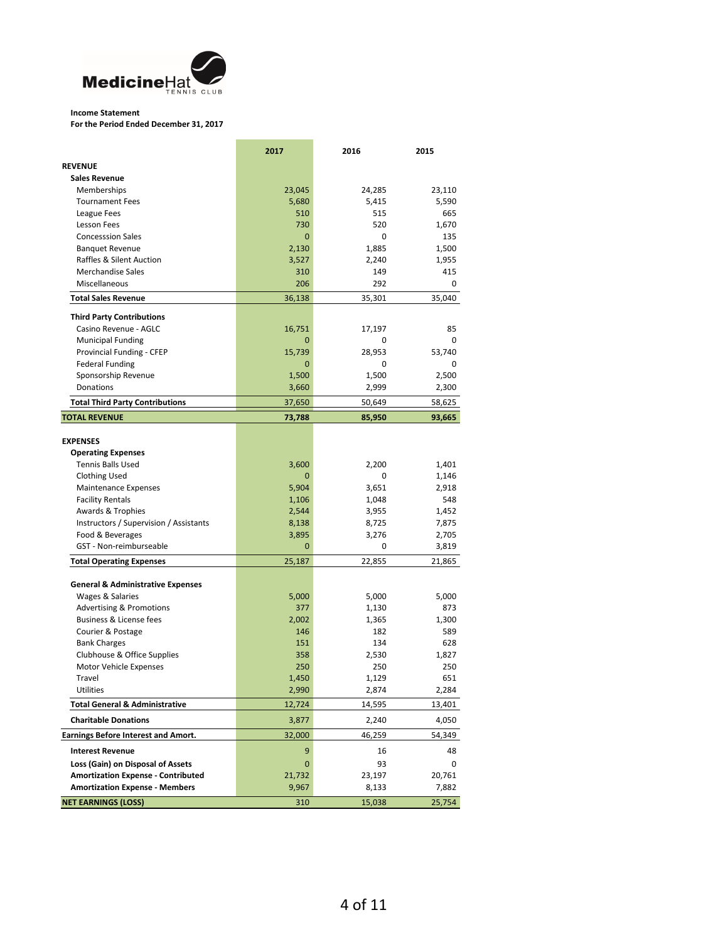

#### **Income Statement**

**For the Period Ended December 31, 2017**

|                                              | 2017         | 2016   | 2015   |
|----------------------------------------------|--------------|--------|--------|
| <b>REVENUE</b>                               |              |        |        |
| <b>Sales Revenue</b>                         |              |        |        |
| Memberships                                  | 23,045       | 24,285 | 23,110 |
| <b>Tournament Fees</b>                       | 5,680        | 5,415  | 5,590  |
| League Fees                                  | 510          | 515    | 665    |
| <b>Lesson Fees</b>                           | 730          | 520    | 1,670  |
| <b>Concesssion Sales</b>                     | $\mathbf{0}$ | 0      | 135    |
| <b>Banquet Revenue</b>                       | 2,130        | 1,885  | 1,500  |
| Raffles & Silent Auction                     | 3,527        | 2,240  | 1,955  |
| <b>Merchandise Sales</b>                     | 310          | 149    | 415    |
| Miscellaneous                                | 206          | 292    | 0      |
| <b>Total Sales Revenue</b>                   | 36,138       | 35,301 | 35,040 |
| <b>Third Party Contributions</b>             |              |        |        |
| Casino Revenue - AGLC                        | 16,751       | 17,197 | 85     |
| <b>Municipal Funding</b>                     | 0            | 0      | 0      |
| Provincial Funding - CFEP                    | 15,739       | 28,953 | 53,740 |
| <b>Federal Funding</b>                       | 0            | 0      | 0      |
| Sponsorship Revenue                          | 1,500        | 1,500  | 2,500  |
| Donations                                    | 3,660        | 2,999  | 2,300  |
| <b>Total Third Party Contributions</b>       | 37,650       | 50,649 | 58,625 |
| <b>TOTAL REVENUE</b>                         | 73,788       | 85.950 | 93,665 |
| <b>EXPENSES</b>                              |              |        |        |
| <b>Operating Expenses</b>                    |              |        |        |
| <b>Tennis Balls Used</b>                     | 3,600        | 2.200  | 1,401  |
| <b>Clothing Used</b>                         | 0            | 0      | 1,146  |
| <b>Maintenance Expenses</b>                  | 5,904        | 3,651  | 2,918  |
| <b>Facility Rentals</b>                      | 1,106        | 1,048  | 548    |
| Awards & Trophies                            | 2,544        | 3,955  | 1,452  |
| Instructors / Supervision / Assistants       | 8,138        | 8,725  | 7,875  |
| Food & Beverages                             | 3,895        | 3,276  | 2,705  |
| GST - Non-reimburseable                      | 0            | 0      | 3,819  |
|                                              |              |        |        |
| <b>Total Operating Expenses</b>              | 25,187       | 22,855 | 21,865 |
| <b>General &amp; Administrative Expenses</b> |              |        |        |
| Wages & Salaries                             | 5,000        | 5,000  | 5,000  |
| <b>Advertising &amp; Promotions</b>          | 377          | 1,130  | 873    |
| <b>Business &amp; License fees</b>           | 2,002        | 1,365  | 1,300  |
| Courier & Postage                            | 146          | 182    | 589    |
| <b>Bank Charges</b>                          | 151          | 134    | 628    |
| Clubhouse & Office Supplies                  | 358          | 2,530  | 1,827  |
| Motor Vehicle Expenses                       | 250          | 250    | 250    |
| Travel                                       | 1,450        | 1,129  | 651    |
| Utilities                                    | 2,990        | 2,874  | 2,284  |
| <b>Total General &amp; Administrative</b>    | 12,724       | 14,595 | 13,401 |
| <b>Charitable Donations</b>                  | 3,877        | 2,240  | 4,050  |
| <b>Earnings Before Interest and Amort.</b>   | 32,000       | 46,259 | 54,349 |
| <b>Interest Revenue</b>                      | 9            | 16     | 48     |
| Loss (Gain) on Disposal of Assets            | 0            | 93     | 0      |
| <b>Amortization Expense - Contributed</b>    | 21,732       | 23,197 | 20,761 |
| <b>Amortization Expense - Members</b>        | 9,967        | 8,133  | 7,882  |
| <b>NET EARNINGS (LOSS)</b>                   | 310          | 15,038 | 25,754 |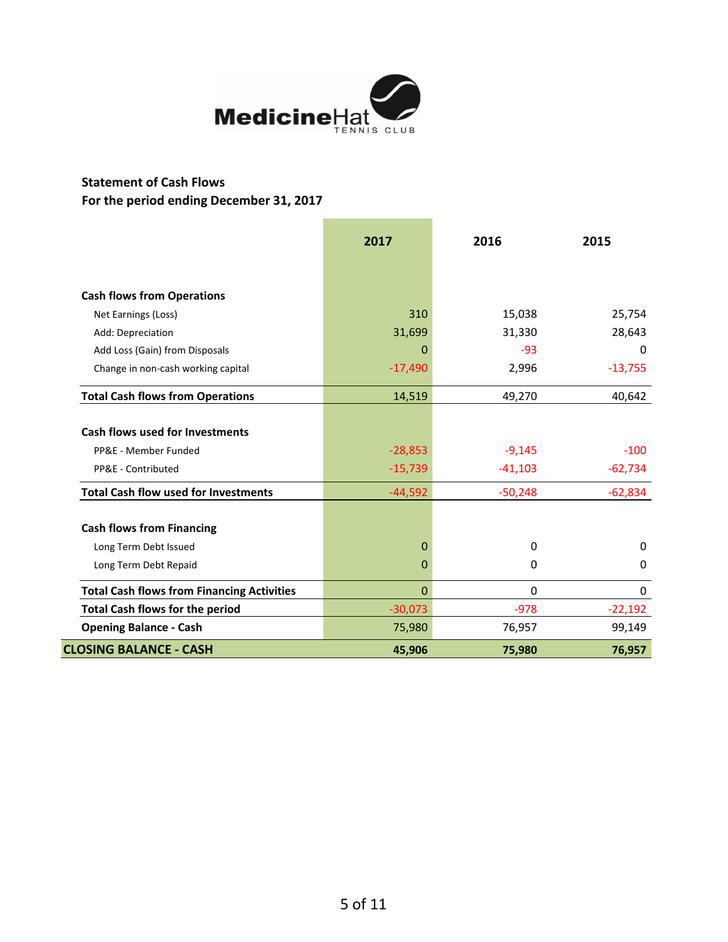

## **Statement of Cash Flows For the period ending December 31, 2017**

|                                                   | 2017         | 2016        | 2015      |
|---------------------------------------------------|--------------|-------------|-----------|
|                                                   |              |             |           |
| <b>Cash flows from Operations</b>                 |              |             |           |
| Net Earnings (Loss)                               | 310          | 15,038      | 25,754    |
| Add: Depreciation                                 | 31,699       | 31,330      | 28,643    |
| Add Loss (Gain) from Disposals                    | 0            | $-93$       | $\Omega$  |
| Change in non-cash working capital                | $-17,490$    | 2,996       | $-13,755$ |
| <b>Total Cash flows from Operations</b>           | 14,519       | 49,270      | 40,642    |
| <b>Cash flows used for Investments</b>            |              |             |           |
| PP&E - Member Funded                              | $-28,853$    | $-9,145$    | $-100$    |
| PP&E - Contributed                                | $-15,739$    | $-41,103$   | $-62,734$ |
| <b>Total Cash flow used for Investments</b>       | $-44,592$    | $-50,248$   | $-62,834$ |
| <b>Cash flows from Financing</b>                  |              |             |           |
| Long Term Debt Issued                             | $\mathbf 0$  | 0           | 0         |
| Long Term Debt Repaid                             | 0            | 0           | $\Omega$  |
| <b>Total Cash flows from Financing Activities</b> | $\mathbf{0}$ | $\mathbf 0$ | 0         |
| <b>Total Cash flows for the period</b>            | $-30,073$    | $-978$      | $-22,192$ |
| <b>Opening Balance - Cash</b>                     | 75,980       | 76,957      | 99,149    |
| <b>CLOSING BALANCE - CASH</b>                     | 45,906       | 75,980      | 76,957    |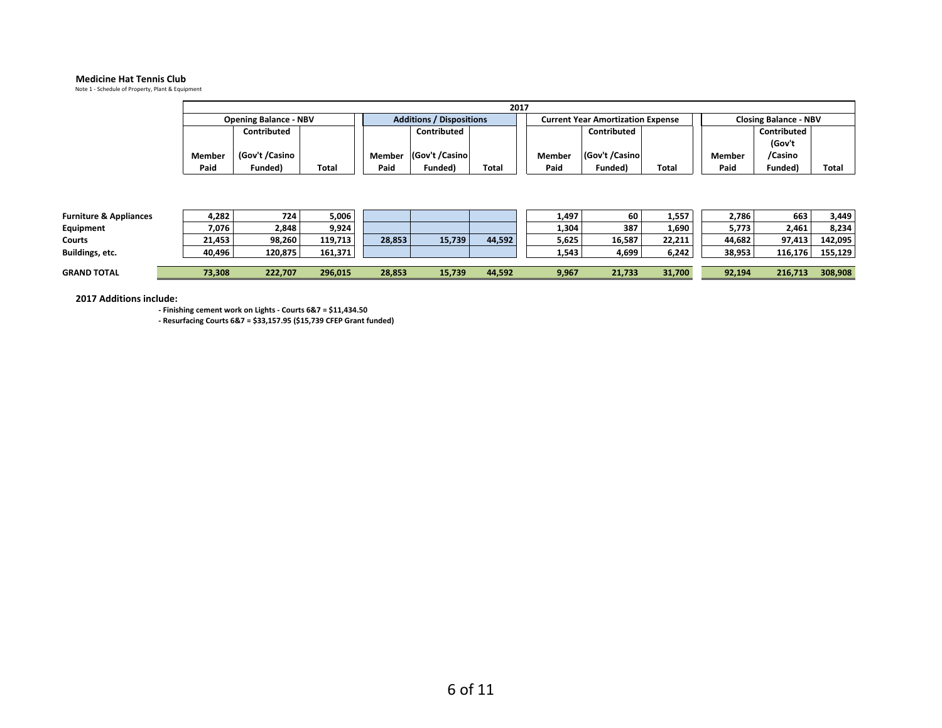#### **Medicine Hat Tennis Club**

Note 1 - Schedule of Property, Plant & Equipment

| 2017   |                              |       |                                 |                 |       |                                          |               |       |                              |             |       |
|--------|------------------------------|-------|---------------------------------|-----------------|-------|------------------------------------------|---------------|-------|------------------------------|-------------|-------|
|        | <b>Opening Balance - NBV</b> |       | <b>Additions / Dispositions</b> |                 |       | <b>Current Year Amortization Expense</b> |               |       | <b>Closing Balance - NBV</b> |             |       |
|        | Contributed                  |       |                                 | Contributed     |       |                                          | Contributed   |       |                              | Contributed |       |
|        |                              |       |                                 |                 |       |                                          |               |       |                              | (Gov't      |       |
| Member | (Gov't /Casino               |       | Member                          | (Gov't /Casino) |       | Member                                   | Gov't /Casino |       | Member                       | /Casino     |       |
| Paid   | Funded)                      | Total | Paid                            | Funded)         | Total | Paid                                     | Funded)       | Total | Paid                         | Funded)     | Total |

| <b>Furniture &amp; Appliances</b> | +,282  | 724     | 5,006   |        |        |        | 1,497 | 60     | 1,557  | 2,786  | 663     | 3.449   |
|-----------------------------------|--------|---------|---------|--------|--------|--------|-------|--------|--------|--------|---------|---------|
| Equipment                         | 7,076  | 2,848   | 9,924   |        |        |        | 1,304 | 387    | 1,690  | 5,773  | 2,461   | 8.234   |
| Courts                            | 21,453 | 98,260  | 119.713 | 28,853 | 15,739 | 44,592 | 5,625 | 16,587 | 22,211 | 44.682 | 97.413  | 142.095 |
| Buildings, etc.                   | 40,496 | 120,875 | 161.371 |        |        |        | 1,543 | 4,699  | 6,242  | 38,953 | 116,176 | 155,129 |
|                                   |        |         |         |        |        |        |       |        |        |        |         |         |
| <b>GRAND TOTAL</b>                | 73,308 | 222,707 | 296,015 | 28,853 | 15,739 | 44,592 | 9,967 | 21,733 | 31,700 | 92,194 | 216,713 | 308,908 |

**2017 Additions include:**

**- Finishing cement work on Lights - Courts 6&7 = \$11,434.50 - Resurfacing Courts 6&7 = \$33,157.95 (\$15,739 CFEP Grant funded)**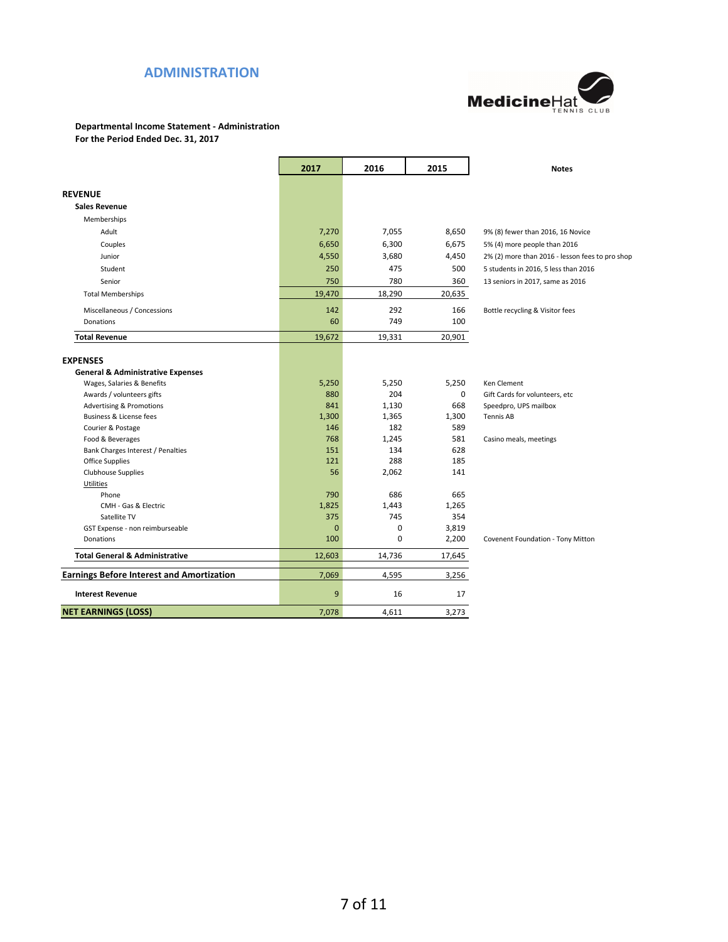## **ADMINISTRATION**



## **Departmental Income Statement - Administration**

**For the Period Ended Dec. 31, 2017**

|                                                  | 2017     | 2016        | 2015         | <b>Notes</b>                                    |
|--------------------------------------------------|----------|-------------|--------------|-------------------------------------------------|
|                                                  |          |             |              |                                                 |
| <b>REVENUE</b>                                   |          |             |              |                                                 |
| <b>Sales Revenue</b>                             |          |             |              |                                                 |
| Memberships                                      |          |             |              |                                                 |
| Adult                                            | 7,270    | 7,055       | 8,650        | 9% (8) fewer than 2016, 16 Novice               |
| Couples                                          | 6,650    | 6,300       | 6,675        | 5% (4) more people than 2016                    |
| Junior                                           | 4,550    | 3,680       | 4,450        | 2% (2) more than 2016 - lesson fees to pro shop |
| Student                                          | 250      | 475         | 500          | 5 students in 2016, 5 less than 2016            |
| Senior                                           | 750      | 780         | 360          | 13 seniors in 2017, same as 2016                |
| <b>Total Memberships</b>                         | 19,470   | 18,290      | 20,635       |                                                 |
| Miscellaneous / Concessions                      | 142      | 292         | 166          | Bottle recycling & Visitor fees                 |
| Donations                                        | 60       | 749         | 100          |                                                 |
| <b>Total Revenue</b>                             | 19,672   | 19,331      | 20,901       |                                                 |
|                                                  |          |             |              |                                                 |
| <b>EXPENSES</b>                                  |          |             |              |                                                 |
| <b>General &amp; Administrative Expenses</b>     |          |             |              |                                                 |
| Wages, Salaries & Benefits                       | 5,250    | 5,250       | 5,250        | Ken Clement                                     |
| Awards / volunteers gifts                        | 880      | 204         | $\mathbf{0}$ | Gift Cards for volunteers, etc                  |
| <b>Advertising &amp; Promotions</b>              | 841      | 1,130       | 668          | Speedpro, UPS mailbox                           |
| <b>Business &amp; License fees</b>               | 1,300    | 1,365       | 1,300        | <b>Tennis AB</b>                                |
| Courier & Postage                                | 146      | 182         | 589          |                                                 |
| Food & Beverages                                 | 768      | 1,245       | 581          | Casino meals, meetings                          |
| Bank Charges Interest / Penalties                | 151      | 134         | 628          |                                                 |
| Office Supplies                                  | 121      | 288         | 185          |                                                 |
| <b>Clubhouse Supplies</b>                        | 56       | 2,062       | 141          |                                                 |
| <b>Utilities</b>                                 |          |             |              |                                                 |
| Phone                                            | 790      | 686         | 665          |                                                 |
| CMH - Gas & Electric                             | 1,825    | 1,443       | 1,265        |                                                 |
| Satellite TV                                     | 375      | 745         | 354          |                                                 |
| GST Expense - non reimburseable                  | $\Omega$ | 0           | 3,819        |                                                 |
| Donations                                        | 100      | $\mathbf 0$ | 2,200        | Covenent Foundation - Tony Mitton               |
| <b>Total General &amp; Administrative</b>        | 12,603   | 14,736      | 17,645       |                                                 |
| <b>Earnings Before Interest and Amortization</b> | 7,069    | 4,595       | 3,256        |                                                 |
| <b>Interest Revenue</b>                          | 9        | 16          | 17           |                                                 |
| <b>NET EARNINGS (LOSS)</b>                       | 7,078    | 4,611       | 3,273        |                                                 |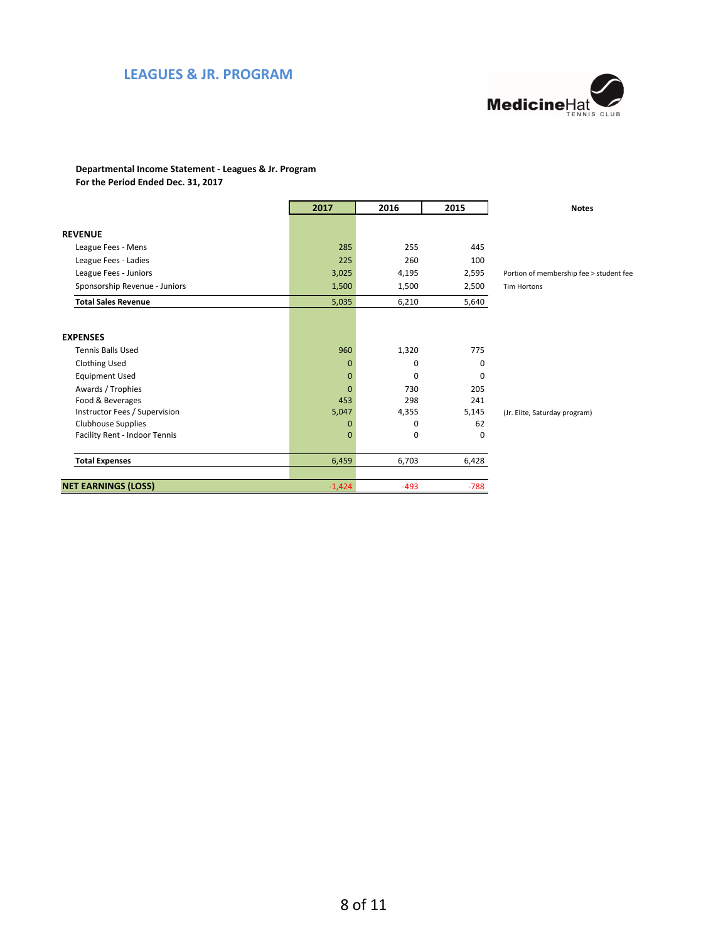### **LEAGUES & JR. PROGRAM**



#### **Departmental Income Statement - Leagues & Jr. Program For the Period Ended Dec. 31, 2017**

|                               | 2017           | 2016   | 2015   | <b>Notes</b>                            |
|-------------------------------|----------------|--------|--------|-----------------------------------------|
|                               |                |        |        |                                         |
| <b>REVENUE</b>                |                |        |        |                                         |
| League Fees - Mens            | 285            | 255    | 445    |                                         |
| League Fees - Ladies          | 225            | 260    | 100    |                                         |
| League Fees - Juniors         | 3,025          | 4,195  | 2,595  | Portion of membership fee > student fee |
| Sponsorship Revenue - Juniors | 1,500          | 1,500  | 2,500  | <b>Tim Hortons</b>                      |
| <b>Total Sales Revenue</b>    | 5,035          | 6,210  | 5,640  |                                         |
|                               |                |        |        |                                         |
| <b>EXPENSES</b>               |                |        |        |                                         |
| <b>Tennis Balls Used</b>      | 960            | 1,320  | 775    |                                         |
| <b>Clothing Used</b>          | $\Omega$       | 0      | 0      |                                         |
| <b>Equipment Used</b>         | $\mathbf{0}$   | 0      | 0      |                                         |
| Awards / Trophies             | $\overline{0}$ | 730    | 205    |                                         |
| Food & Beverages              | 453            | 298    | 241    |                                         |
| Instructor Fees / Supervision | 5,047          | 4,355  | 5,145  | (Jr. Elite, Saturday program)           |
| Clubhouse Supplies            | $\Omega$       | 0      | 62     |                                         |
| Facility Rent - Indoor Tennis | $\mathbf{0}$   | 0      | 0      |                                         |
| <b>Total Expenses</b>         | 6,459          | 6,703  | 6,428  |                                         |
| <b>NET EARNINGS (LOSS)</b>    | $-1,424$       | $-493$ | $-788$ |                                         |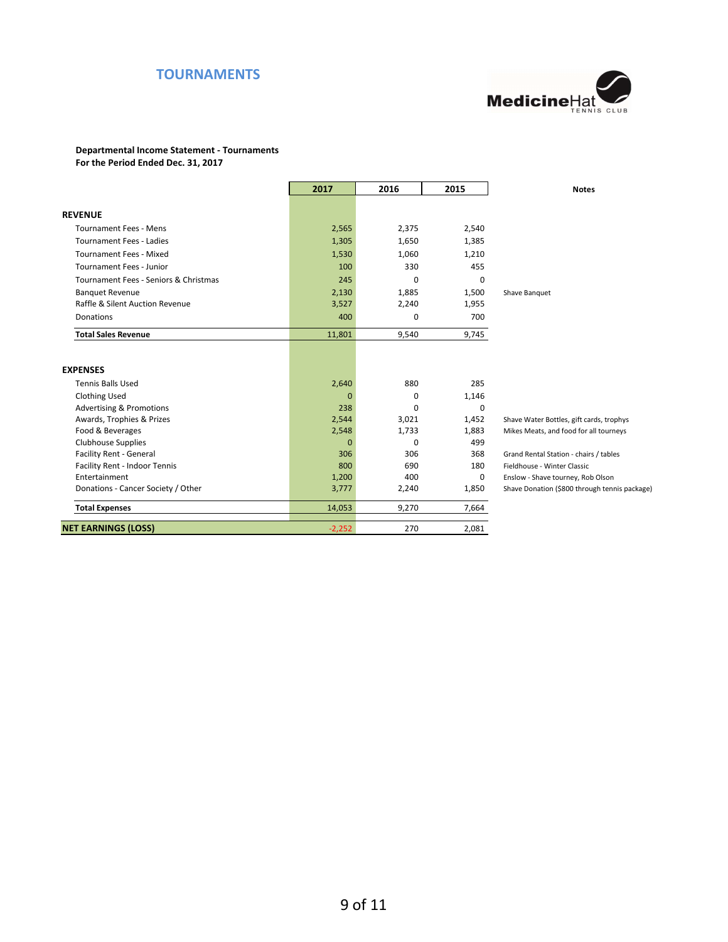## **TOURNAMENTS**



#### **Departmental Income Statement - Tournaments**

**For the Period Ended Dec. 31, 2017**

|                                       | 2017     | 2016     | 2015  | <b>Notes</b>                                  |
|---------------------------------------|----------|----------|-------|-----------------------------------------------|
|                                       |          |          |       |                                               |
| <b>REVENUE</b>                        |          |          |       |                                               |
| <b>Tournament Fees - Mens</b>         | 2,565    | 2,375    | 2,540 |                                               |
| <b>Tournament Fees - Ladies</b>       | 1,305    | 1,650    | 1,385 |                                               |
| <b>Tournament Fees - Mixed</b>        | 1,530    | 1,060    | 1,210 |                                               |
| <b>Tournament Fees - Junior</b>       | 100      | 330      | 455   |                                               |
| Tournament Fees - Seniors & Christmas | 245      | $\Omega$ | 0     |                                               |
| <b>Banquet Revenue</b>                | 2,130    | 1,885    | 1,500 | Shave Banquet                                 |
| Raffle & Silent Auction Revenue       | 3,527    | 2,240    | 1,955 |                                               |
| Donations                             | 400      | 0        | 700   |                                               |
| <b>Total Sales Revenue</b>            | 11,801   | 9,540    | 9,745 |                                               |
| <b>EXPENSES</b>                       |          |          |       |                                               |
| <b>Tennis Balls Used</b>              | 2,640    | 880      | 285   |                                               |
| <b>Clothing Used</b>                  | $\Omega$ | 0        | 1,146 |                                               |
| <b>Advertising &amp; Promotions</b>   | 238      | $\Omega$ | 0     |                                               |
| Awards, Trophies & Prizes             | 2,544    | 3,021    | 1,452 | Shave Water Bottles, gift cards, trophys      |
| Food & Beverages                      | 2,548    | 1,733    | 1,883 | Mikes Meats, and food for all tourneys        |
| <b>Clubhouse Supplies</b>             | $\Omega$ | $\Omega$ | 499   |                                               |
| Facility Rent - General               | 306      | 306      | 368   | Grand Rental Station - chairs / tables        |
| Facility Rent - Indoor Tennis         | 800      | 690      | 180   | Fieldhouse - Winter Classic                   |
| Entertainment                         | 1,200    | 400      | 0     | Enslow - Shave tourney, Rob Olson             |
| Donations - Cancer Society / Other    | 3,777    | 2,240    | 1,850 | Shave Donation (\$800 through tennis package) |
| <b>Total Expenses</b>                 | 14,053   | 9,270    | 7,664 |                                               |
| <b>NET EARNINGS (LOSS)</b>            | $-2,252$ | 270      | 2,081 |                                               |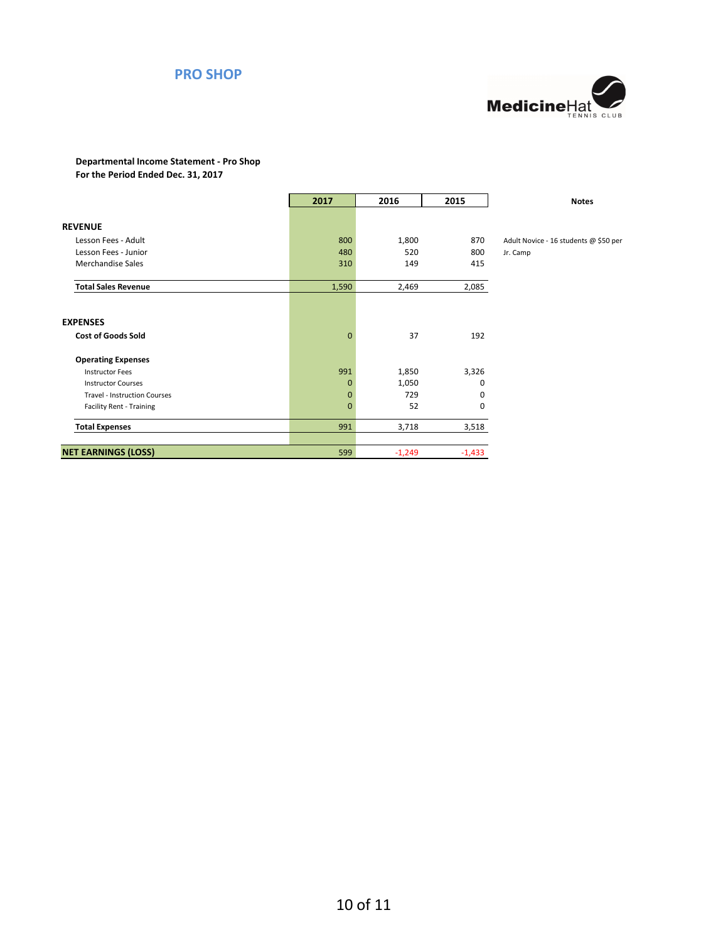### **PRO SHOP**



# **Departmental Income Statement - Pro Shop**

**For the Period Ended Dec. 31, 2017**

|                                     | 2017         | 2016     | 2015     | <b>Notes</b>                          |
|-------------------------------------|--------------|----------|----------|---------------------------------------|
|                                     |              |          |          |                                       |
| <b>REVENUE</b>                      |              |          |          |                                       |
| Lesson Fees - Adult                 | 800          | 1,800    | 870      | Adult Novice - 16 students @ \$50 per |
| Lesson Fees - Junior                | 480          | 520      | 800      | Jr. Camp                              |
| Merchandise Sales                   | 310          | 149      | 415      |                                       |
| <b>Total Sales Revenue</b>          | 1,590        | 2,469    | 2,085    |                                       |
|                                     |              |          |          |                                       |
| <b>EXPENSES</b>                     |              |          |          |                                       |
| <b>Cost of Goods Sold</b>           | $\mathbf{0}$ | 37       | 192      |                                       |
| <b>Operating Expenses</b>           |              |          |          |                                       |
| <b>Instructor Fees</b>              | 991          | 1,850    | 3,326    |                                       |
| <b>Instructor Courses</b>           | $\mathbf 0$  | 1,050    | 0        |                                       |
| <b>Travel - Instruction Courses</b> | $\mathbf 0$  | 729      | 0        |                                       |
| <b>Facility Rent - Training</b>     | $\mathbf{0}$ | 52       | 0        |                                       |
| <b>Total Expenses</b>               | 991          | 3,718    | 3,518    |                                       |
|                                     |              |          |          |                                       |
| <b>NET EARNINGS (LOSS)</b>          | 599          | $-1,249$ | $-1,433$ |                                       |